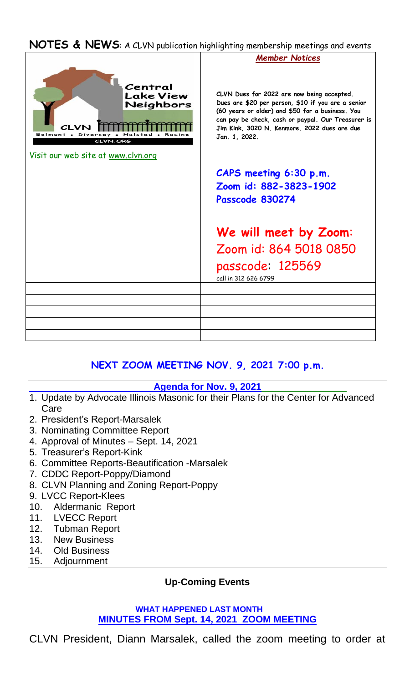## **NOTES & NEWS**: A CLVN publication highlighting membership meetings and events



# **NEXT ZOOM MEETING NOV. 9, 2021 7:00 p.m.**

### **Agenda for Nov. 9, 2021**

- 1. Update by Advocate Illinois Masonic for their Plans for the Center for Advanced Care
- 2. President's Report-Marsalek
- 3. Nominating Committee Report
- 4. Approval of Minutes Sept. 14, 2021
- 5. Treasurer's Report-Kink
- 6. Committee Reports-Beautification -Marsalek
- 7. CDDC Report-Poppy/Diamond
- 8. CLVN Planning and Zoning Report-Poppy
- 9. LVCC Report-Klees
- 10. Aldermanic Report
- 11. LVECC Report
- 12. Tubman Report
- 13. New Business
- 14. Old Business
- 15. Adjournment

### **Up-Coming Events**

#### **WHAT HAPPENED LAST MONTH MINUTES FROM Sept. 14, 2021 ZOOM MEETING**

CLVN President, Diann Marsalek, called the zoom meeting to order at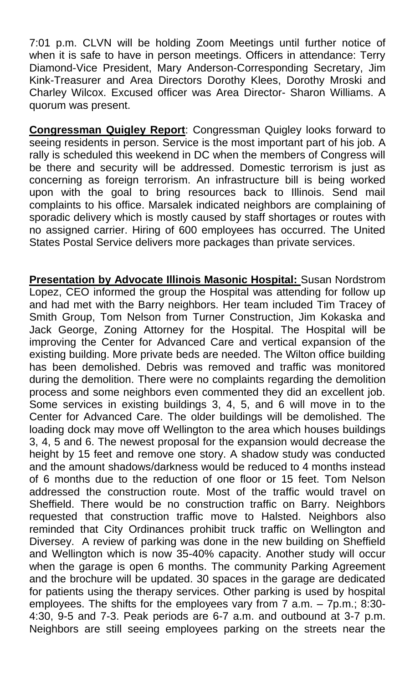7:01 p.m. CLVN will be holding Zoom Meetings until further notice of when it is safe to have in person meetings. Officers in attendance: Terry Diamond-Vice President, Mary Anderson-Corresponding Secretary, Jim Kink-Treasurer and Area Directors Dorothy Klees, Dorothy Mroski and Charley Wilcox. Excused officer was Area Director- Sharon Williams. A quorum was present.

**Congressman Quigley Report**: Congressman Quigley looks forward to seeing residents in person. Service is the most important part of his job. A rally is scheduled this weekend in DC when the members of Congress will be there and security will be addressed. Domestic terrorism is just as concerning as foreign terrorism. An infrastructure bill is being worked upon with the goal to bring resources back to Illinois. Send mail complaints to his office. Marsalek indicated neighbors are complaining of sporadic delivery which is mostly caused by staff shortages or routes with no assigned carrier. Hiring of 600 employees has occurred. The United States Postal Service delivers more packages than private services.

**Presentation by Advocate Illinois Masonic Hospital:** Susan Nordstrom Lopez, CEO informed the group the Hospital was attending for follow up and had met with the Barry neighbors. Her team included Tim Tracey of Smith Group, Tom Nelson from Turner Construction, Jim Kokaska and Jack George, Zoning Attorney for the Hospital. The Hospital will be improving the Center for Advanced Care and vertical expansion of the existing building. More private beds are needed. The Wilton office building has been demolished. Debris was removed and traffic was monitored during the demolition. There were no complaints regarding the demolition process and some neighbors even commented they did an excellent job. Some services in existing buildings 3, 4, 5, and 6 will move in to the Center for Advanced Care. The older buildings will be demolished. The loading dock may move off Wellington to the area which houses buildings 3, 4, 5 and 6. The newest proposal for the expansion would decrease the height by 15 feet and remove one story. A shadow study was conducted and the amount shadows/darkness would be reduced to 4 months instead of 6 months due to the reduction of one floor or 15 feet. Tom Nelson addressed the construction route. Most of the traffic would travel on Sheffield. There would be no construction traffic on Barry. Neighbors requested that construction traffic move to Halsted. Neighbors also reminded that City Ordinances prohibit truck traffic on Wellington and Diversey. A review of parking was done in the new building on Sheffield and Wellington which is now 35-40% capacity. Another study will occur when the garage is open 6 months. The community Parking Agreement and the brochure will be updated. 30 spaces in the garage are dedicated for patients using the therapy services. Other parking is used by hospital employees. The shifts for the employees vary from  $\overline{7}$  a.m.  $-7$  p.m.; 8:30-4:30, 9-5 and 7-3. Peak periods are 6-7 a.m. and outbound at 3-7 p.m. Neighbors are still seeing employees parking on the streets near the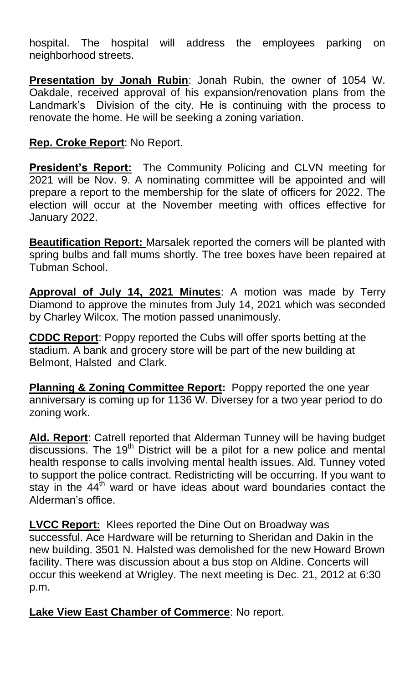hospital. The hospital will address the employees parking on neighborhood streets.

**Presentation by Jonah Rubin**: Jonah Rubin, the owner of 1054 W. Oakdale, received approval of his expansion/renovation plans from the Landmark's Division of the city. He is continuing with the process to renovate the home. He will be seeking a zoning variation.

## **Rep. Croke Report**: No Report.

**President's Report:** The Community Policing and CLVN meeting for 2021 will be Nov. 9. A nominating committee will be appointed and will prepare a report to the membership for the slate of officers for 2022. The election will occur at the November meeting with offices effective for January 2022.

**Beautification Report:** Marsalek reported the corners will be planted with spring bulbs and fall mums shortly. The tree boxes have been repaired at Tubman School.

**Approval of July 14, 2021 Minutes**: A motion was made by Terry Diamond to approve the minutes from July 14, 2021 which was seconded by Charley Wilcox. The motion passed unanimously.

**CDDC Report**: Poppy reported the Cubs will offer sports betting at the stadium. A bank and grocery store will be part of the new building at Belmont, Halsted and Clark.

**Planning & Zoning Committee Report:** Poppy reported the one year anniversary is coming up for 1136 W. Diversey for a two year period to do zoning work.

**Ald. Report**: Catrell reported that Alderman Tunney will be having budget discussions. The 19<sup>th</sup> District will be a pilot for a new police and mental health response to calls involving mental health issues. Ald. Tunney voted to support the police contract. Redistricting will be occurring. If you want to stay in the  $44<sup>th</sup>$  ward or have ideas about ward boundaries contact the Alderman's office.

**LVCC Report:** Klees reported the Dine Out on Broadway was successful. Ace Hardware will be returning to Sheridan and Dakin in the new building. 3501 N. Halsted was demolished for the new Howard Brown facility. There was discussion about a bus stop on Aldine. Concerts will occur this weekend at Wrigley. The next meeting is Dec. 21, 2012 at 6:30 p.m.

**Lake View East Chamber of Commerce**: No report.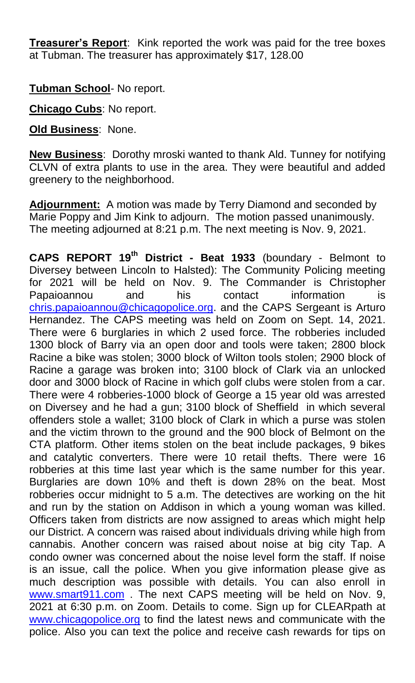**Treasurer's Report**: Kink reported the work was paid for the tree boxes at Tubman. The treasurer has approximately \$17, 128.00

**Tubman School**- No report.

**Chicago Cubs**: No report.

**Old Business**: None.

**New Business**: Dorothy mroski wanted to thank Ald. Tunney for notifying CLVN of extra plants to use in the area. They were beautiful and added greenery to the neighborhood.

**Adjournment:** A motion was made by Terry Diamond and seconded by Marie Poppy and Jim Kink to adjourn. The motion passed unanimously. The meeting adjourned at 8:21 p.m. The next meeting is Nov. 9, 2021.

**CAPS REPORT 19th District - Beat 1933** (boundary - Belmont to Diversey between Lincoln to Halsted): The Community Policing meeting for 2021 will be held on Nov. 9. The Commander is Christopher Papaioannou and his contact information is [chris.papaioannou@chicagopolice.org.](mailto:chris.papaioannou@chicagopolice.org) and the CAPS Sergeant is Arturo Hernandez. The CAPS meeting was held on Zoom on Sept. 14, 2021. There were 6 burglaries in which 2 used force. The robberies included 1300 block of Barry via an open door and tools were taken; 2800 block Racine a bike was stolen; 3000 block of Wilton tools stolen; 2900 block of Racine a garage was broken into; 3100 block of Clark via an unlocked door and 3000 block of Racine in which golf clubs were stolen from a car. There were 4 robberies-1000 block of George a 15 year old was arrested on Diversey and he had a gun; 3100 block of Sheffield in which several offenders stole a wallet; 3100 block of Clark in which a purse was stolen and the victim thrown to the ground and the 900 block of Belmont on the CTA platform. Other items stolen on the beat include packages, 9 bikes and catalytic converters. There were 10 retail thefts. There were 16 robberies at this time last year which is the same number for this year. Burglaries are down 10% and theft is down 28% on the beat. Most robberies occur midnight to 5 a.m. The detectives are working on the hit and run by the station on Addison in which a young woman was killed. Officers taken from districts are now assigned to areas which might help our District. A concern was raised about individuals driving while high from cannabis. Another concern was raised about noise at big city Tap. A condo owner was concerned about the noise level form the staff. If noise is an issue, call the police. When you give information please give as much description was possible with details. You can also enroll in [www.smart911.com](http://www.smart911.com/) . The next CAPS meeting will be held on Nov. 9, 2021 at 6:30 p.m. on Zoom. Details to come. Sign up for CLEARpath at [www.chicagopolice.org](http://www.chicagopolice.org/) to find the latest news and communicate with the police. Also you can text the police and receive cash rewards for tips on